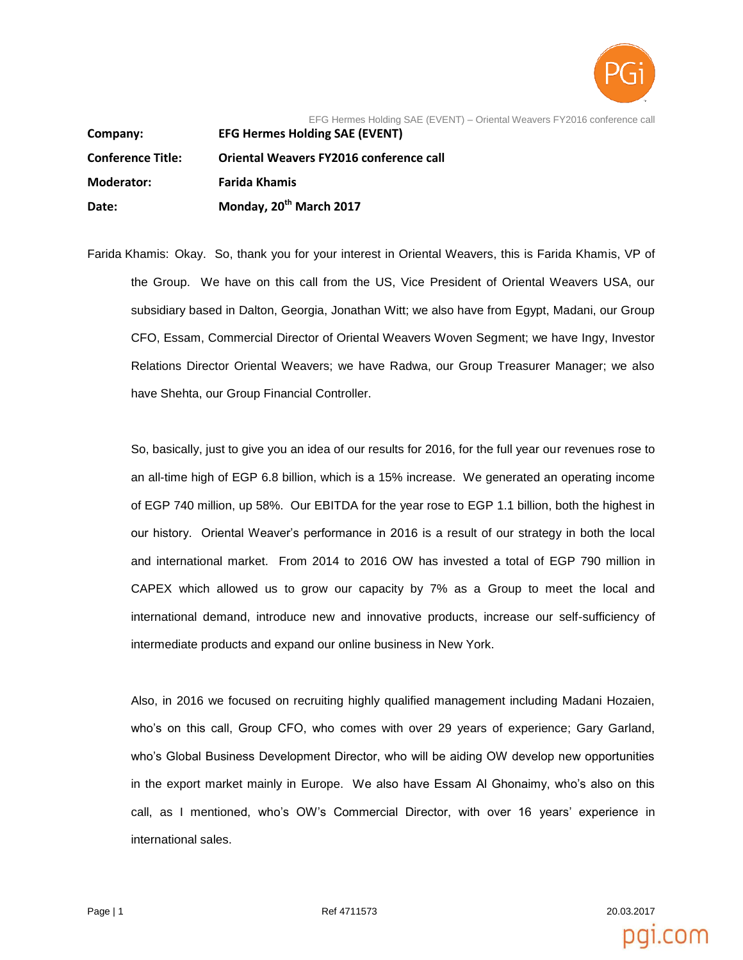

EFG Hermes Holding SAE (EVENT) – Oriental Weavers FY2016 conference call

**Company: EFG Hermes Holding SAE (EVENT) Conference Title: Oriental Weavers FY2016 conference call Moderator: Farida Khamis Date: Monday, 20th March 2017**

Farida Khamis: Okay. So, thank you for your interest in Oriental Weavers, this is Farida Khamis, VP of the Group. We have on this call from the US, Vice President of Oriental Weavers USA, our subsidiary based in Dalton, Georgia, Jonathan Witt; we also have from Egypt, Madani, our Group CFO, Essam, Commercial Director of Oriental Weavers Woven Segment; we have Ingy, Investor Relations Director Oriental Weavers; we have Radwa, our Group Treasurer Manager; we also have Shehta, our Group Financial Controller.

So, basically, just to give you an idea of our results for 2016, for the full year our revenues rose to an all-time high of EGP 6.8 billion, which is a 15% increase. We generated an operating income of EGP 740 million, up 58%. Our EBITDA for the year rose to EGP 1.1 billion, both the highest in our history. Oriental Weaver's performance in 2016 is a result of our strategy in both the local and international market. From 2014 to 2016 OW has invested a total of EGP 790 million in CAPEX which allowed us to grow our capacity by 7% as a Group to meet the local and international demand, introduce new and innovative products, increase our self-sufficiency of intermediate products and expand our online business in New York.

Also, in 2016 we focused on recruiting highly qualified management including Madani Hozaien, who's on this call, Group CFO, who comes with over 29 years of experience; Gary Garland, who's Global Business Development Director, who will be aiding OW develop new opportunities in the export market mainly in Europe. We also have Essam Al Ghonaimy, who's also on this call, as I mentioned, who's OW's Commercial Director, with over 16 years' experience in international sales.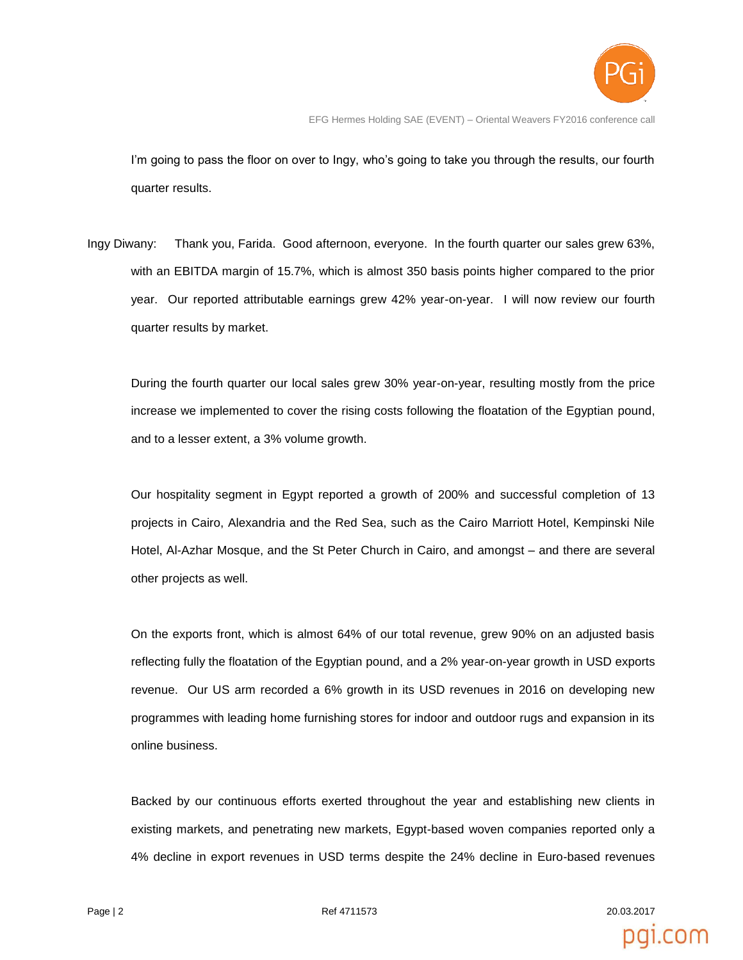

I'm going to pass the floor on over to Ingy, who's going to take you through the results, our fourth quarter results.

Ingy Diwany: Thank you, Farida. Good afternoon, everyone. In the fourth quarter our sales grew 63%, with an EBITDA margin of 15.7%, which is almost 350 basis points higher compared to the prior year. Our reported attributable earnings grew 42% year-on-year. I will now review our fourth quarter results by market.

During the fourth quarter our local sales grew 30% year-on-year, resulting mostly from the price increase we implemented to cover the rising costs following the floatation of the Egyptian pound, and to a lesser extent, a 3% volume growth.

Our hospitality segment in Egypt reported a growth of 200% and successful completion of 13 projects in Cairo, Alexandria and the Red Sea, such as the Cairo Marriott Hotel, Kempinski Nile Hotel, Al-Azhar Mosque, and the St Peter Church in Cairo, and amongst – and there are several other projects as well.

On the exports front, which is almost 64% of our total revenue, grew 90% on an adjusted basis reflecting fully the floatation of the Egyptian pound, and a 2% year-on-year growth in USD exports revenue. Our US arm recorded a 6% growth in its USD revenues in 2016 on developing new programmes with leading home furnishing stores for indoor and outdoor rugs and expansion in its online business.

Backed by our continuous efforts exerted throughout the year and establishing new clients in existing markets, and penetrating new markets, Egypt-based woven companies reported only a 4% decline in export revenues in USD terms despite the 24% decline in Euro-based revenues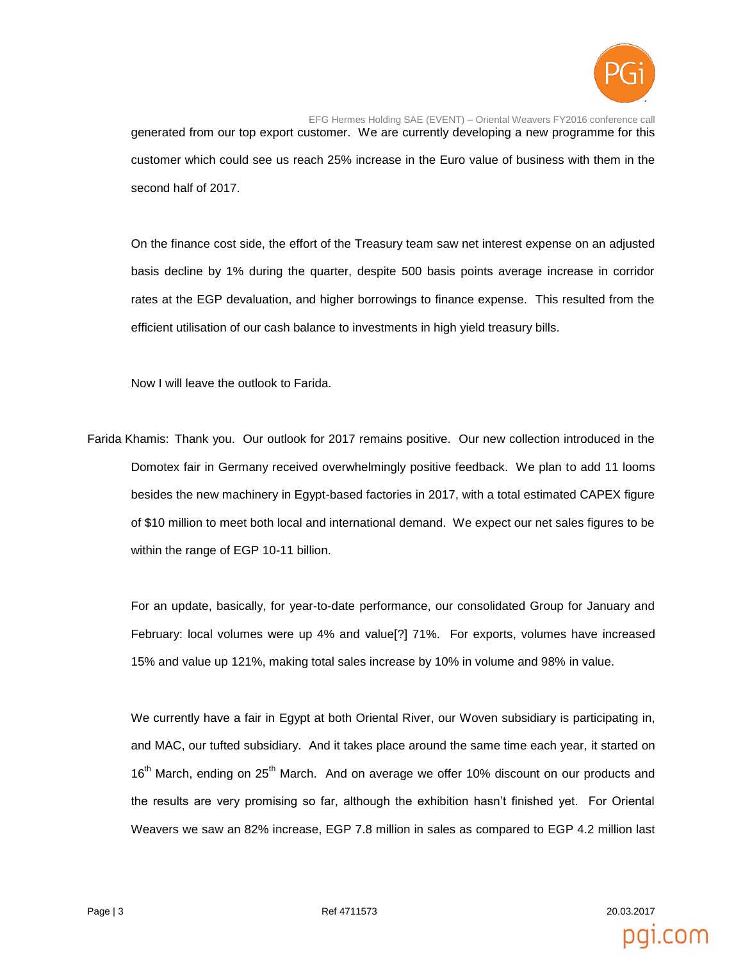

EFG Hermes Holding SAE (EVENT) – Oriental Weavers FY2016 conference call generated from our top export customer. We are currently developing a new programme for this customer which could see us reach 25% increase in the Euro value of business with them in the second half of 2017.

On the finance cost side, the effort of the Treasury team saw net interest expense on an adjusted basis decline by 1% during the quarter, despite 500 basis points average increase in corridor rates at the EGP devaluation, and higher borrowings to finance expense. This resulted from the efficient utilisation of our cash balance to investments in high yield treasury bills.

Now I will leave the outlook to Farida.

Farida Khamis: Thank you. Our outlook for 2017 remains positive. Our new collection introduced in the Domotex fair in Germany received overwhelmingly positive feedback. We plan to add 11 looms besides the new machinery in Egypt-based factories in 2017, with a total estimated CAPEX figure of \$10 million to meet both local and international demand. We expect our net sales figures to be within the range of EGP 10-11 billion.

For an update, basically, for year-to-date performance, our consolidated Group for January and February: local volumes were up 4% and value[?] 71%. For exports, volumes have increased 15% and value up 121%, making total sales increase by 10% in volume and 98% in value.

We currently have a fair in Egypt at both Oriental River, our Woven subsidiary is participating in, and MAC, our tufted subsidiary. And it takes place around the same time each year, it started on 16<sup>th</sup> March, ending on 25<sup>th</sup> March. And on average we offer 10% discount on our products and the results are very promising so far, although the exhibition hasn't finished yet. For Oriental Weavers we saw an 82% increase, EGP 7.8 million in sales as compared to EGP 4.2 million last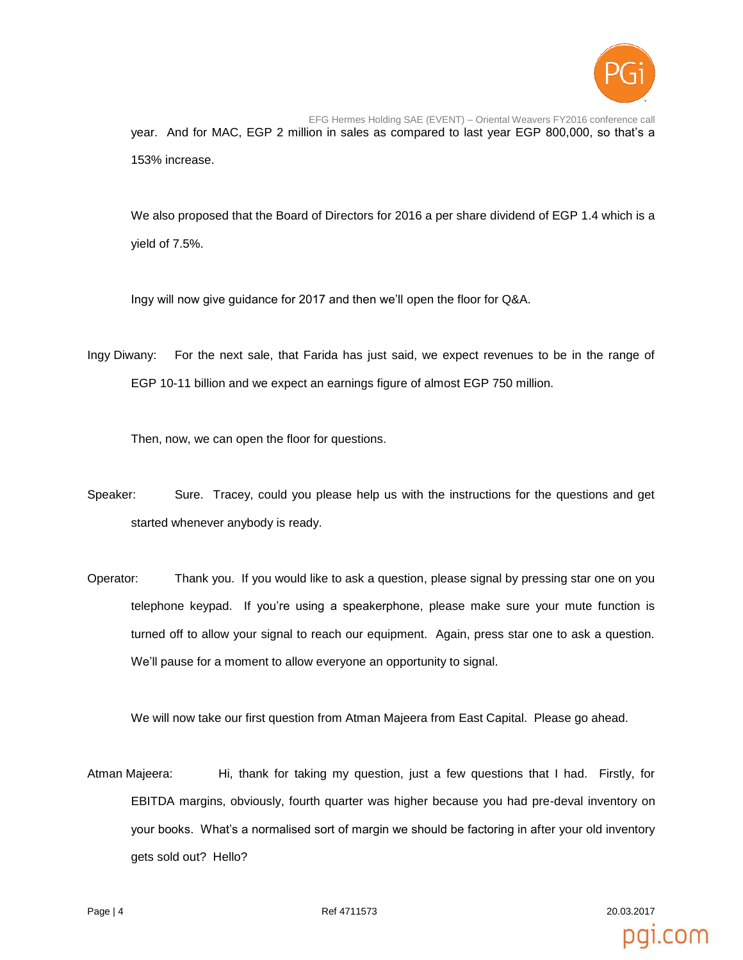

EFG Hermes Holding SAE (EVENT) – Oriental Weavers FY2016 conference call year. And for MAC, EGP 2 million in sales as compared to last year EGP 800,000, so that's a 153% increase.

We also proposed that the Board of Directors for 2016 a per share dividend of EGP 1.4 which is a yield of 7.5%.

Ingy will now give guidance for 2017 and then we'll open the floor for Q&A.

Ingy Diwany: For the next sale, that Farida has just said, we expect revenues to be in the range of EGP 10-11 billion and we expect an earnings figure of almost EGP 750 million.

Then, now, we can open the floor for questions.

- Speaker: Sure. Tracey, could you please help us with the instructions for the questions and get started whenever anybody is ready.
- Operator: Thank you. If you would like to ask a question, please signal by pressing star one on you telephone keypad. If you're using a speakerphone, please make sure your mute function is turned off to allow your signal to reach our equipment. Again, press star one to ask a question. We'll pause for a moment to allow everyone an opportunity to signal.

We will now take our first question from Atman Majeera from East Capital. Please go ahead.

Atman Majeera: Hi, thank for taking my question, just a few questions that I had. Firstly, for EBITDA margins, obviously, fourth quarter was higher because you had pre-deval inventory on your books. What's a normalised sort of margin we should be factoring in after your old inventory gets sold out? Hello?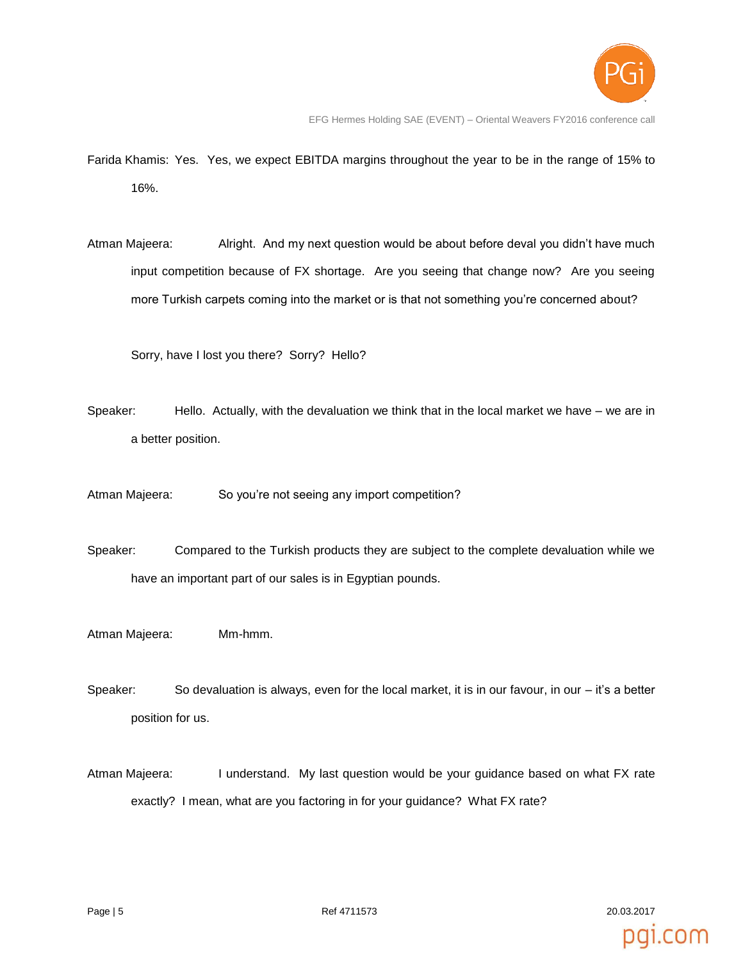

EFG Hermes Holding SAE (EVENT) – Oriental Weavers FY2016 conference call

- Farida Khamis: Yes. Yes, we expect EBITDA margins throughout the year to be in the range of 15% to 16%.
- Atman Majeera: Alright. And my next question would be about before deval you didn't have much input competition because of FX shortage. Are you seeing that change now? Are you seeing more Turkish carpets coming into the market or is that not something you're concerned about?

Sorry, have I lost you there? Sorry? Hello?

- Speaker: Hello. Actually, with the devaluation we think that in the local market we have we are in a better position.
- Atman Majeera: So you're not seeing any import competition?
- Speaker: Compared to the Turkish products they are subject to the complete devaluation while we have an important part of our sales is in Egyptian pounds.
- Atman Majeera: Mm-hmm.
- Speaker: So devaluation is always, even for the local market, it is in our favour, in our it's a better position for us.
- Atman Majeera: I understand. My last question would be your guidance based on what FX rate exactly? I mean, what are you factoring in for your guidance? What FX rate?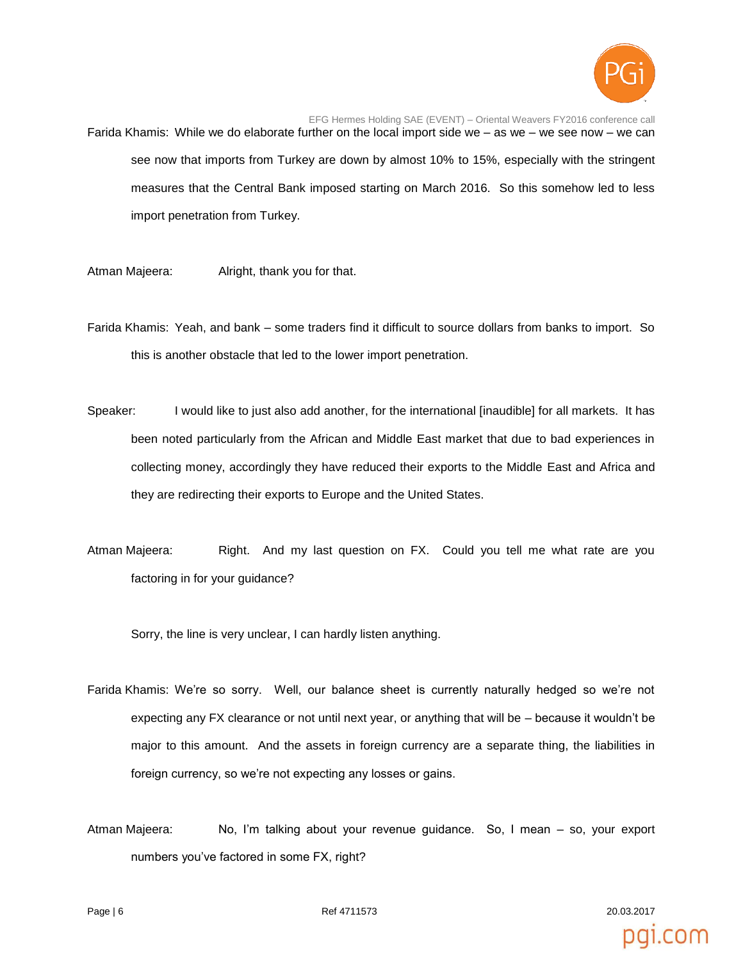

EFG Hermes Holding SAE (EVENT) – Oriental Weavers FY2016 conference call Farida Khamis: While we do elaborate further on the local import side we – as we – we see now – we can see now that imports from Turkey are down by almost 10% to 15%, especially with the stringent measures that the Central Bank imposed starting on March 2016. So this somehow led to less import penetration from Turkey.

Atman Majeera: Alright, thank you for that.

Farida Khamis: Yeah, and bank – some traders find it difficult to source dollars from banks to import. So this is another obstacle that led to the lower import penetration.

- Speaker: I would like to just also add another, for the international [inaudible] for all markets. It has been noted particularly from the African and Middle East market that due to bad experiences in collecting money, accordingly they have reduced their exports to the Middle East and Africa and they are redirecting their exports to Europe and the United States.
- Atman Majeera: Right. And my last question on FX. Could you tell me what rate are you factoring in for your guidance?

Sorry, the line is very unclear, I can hardly listen anything.

- Farida Khamis: We're so sorry. Well, our balance sheet is currently naturally hedged so we're not expecting any FX clearance or not until next year, or anything that will be – because it wouldn't be major to this amount. And the assets in foreign currency are a separate thing, the liabilities in foreign currency, so we're not expecting any losses or gains.
- Atman Majeera: No, I'm talking about your revenue guidance. So, I mean so, your export numbers you've factored in some FX, right?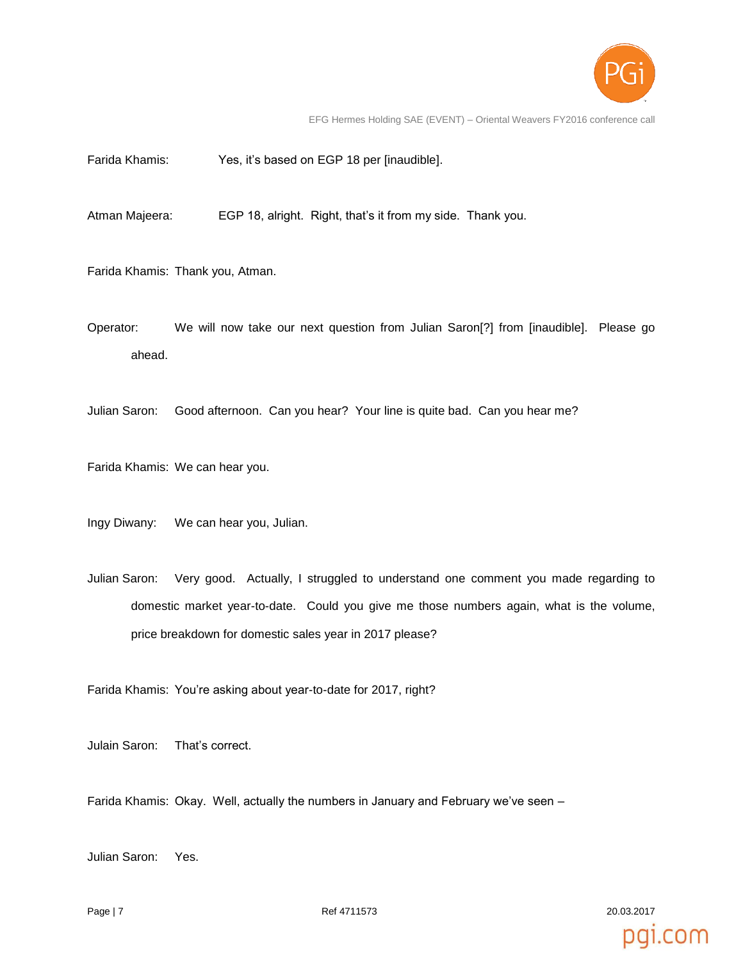

EFG Hermes Holding SAE (EVENT) – Oriental Weavers FY2016 conference call

Farida Khamis: Yes, it's based on EGP 18 per [inaudible].

Atman Majeera: EGP 18, alright. Right, that's it from my side. Thank you.

Farida Khamis: Thank you, Atman.

- Operator: We will now take our next question from Julian Saron[?] from [inaudible]. Please go ahead.
- Julian Saron: Good afternoon. Can you hear? Your line is quite bad. Can you hear me?

Farida Khamis: We can hear you.

Ingy Diwany: We can hear you, Julian.

Julian Saron: Very good. Actually, I struggled to understand one comment you made regarding to domestic market year-to-date. Could you give me those numbers again, what is the volume, price breakdown for domestic sales year in 2017 please?

Farida Khamis: You're asking about year-to-date for 2017, right?

Julain Saron: That's correct.

Farida Khamis: Okay. Well, actually the numbers in January and February we've seen –

Julian Saron: Yes.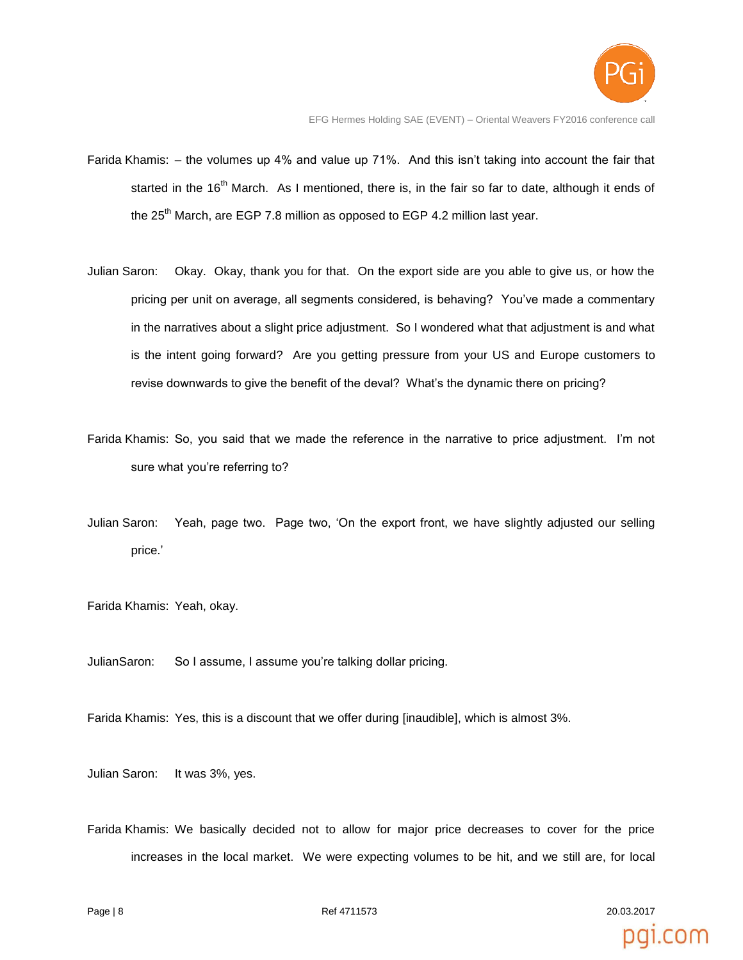

- Farida Khamis: the volumes up 4% and value up 71%. And this isn't taking into account the fair that started in the 16<sup>th</sup> March. As I mentioned, there is, in the fair so far to date, although it ends of the  $25<sup>th</sup>$  March, are EGP 7.8 million as opposed to EGP 4.2 million last year.
- Julian Saron: Okay. Okay, thank you for that. On the export side are you able to give us, or how the pricing per unit on average, all segments considered, is behaving? You've made a commentary in the narratives about a slight price adjustment. So I wondered what that adjustment is and what is the intent going forward? Are you getting pressure from your US and Europe customers to revise downwards to give the benefit of the deval? What's the dynamic there on pricing?
- Farida Khamis: So, you said that we made the reference in the narrative to price adjustment. I'm not sure what you're referring to?
- Julian Saron: Yeah, page two. Page two, 'On the export front, we have slightly adjusted our selling price.'
- Farida Khamis: Yeah, okay.
- JulianSaron: So I assume, I assume you're talking dollar pricing.
- Farida Khamis: Yes, this is a discount that we offer during [inaudible], which is almost 3%.
- Julian Saron: It was 3%, yes.
- Farida Khamis: We basically decided not to allow for major price decreases to cover for the price increases in the local market. We were expecting volumes to be hit, and we still are, for local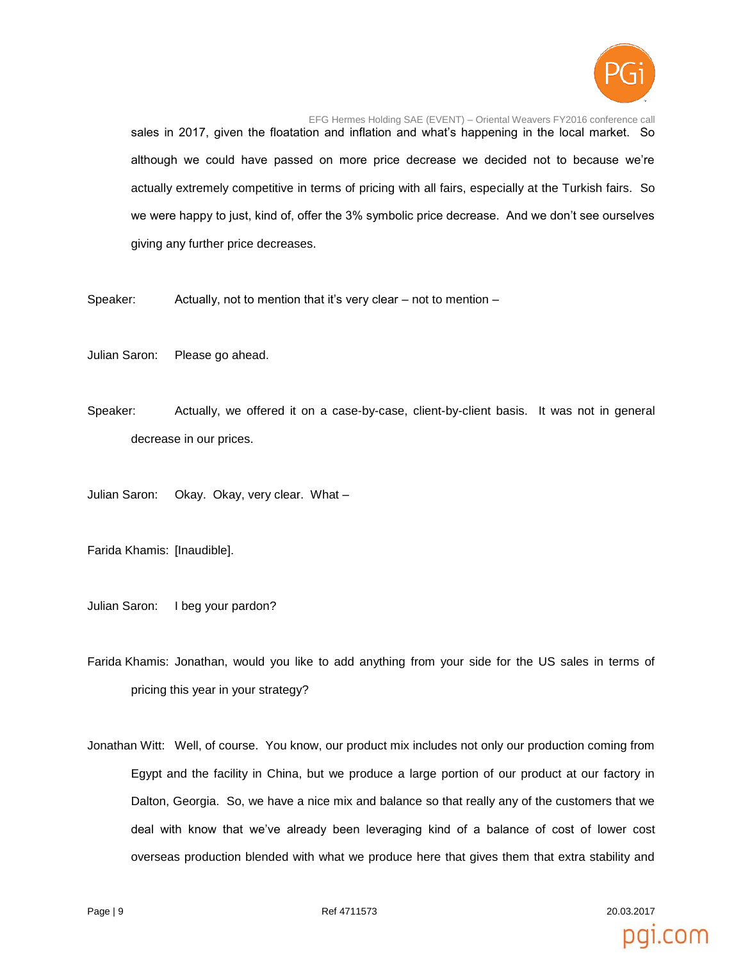

EFG Hermes Holding SAE (EVENT) – Oriental Weavers FY2016 conference call sales in 2017, given the floatation and inflation and what's happening in the local market. So although we could have passed on more price decrease we decided not to because we're actually extremely competitive in terms of pricing with all fairs, especially at the Turkish fairs. So we were happy to just, kind of, offer the 3% symbolic price decrease. And we don't see ourselves giving any further price decreases.

Speaker: Actually, not to mention that it's very clear – not to mention –

Julian Saron: Please go ahead.

Speaker: Actually, we offered it on a case-by-case, client-by-client basis. It was not in general decrease in our prices.

Julian Saron: Okay. Okay, very clear. What –

Farida Khamis: [Inaudible].

Julian Saron: I beg your pardon?

Farida Khamis: Jonathan, would you like to add anything from your side for the US sales in terms of pricing this year in your strategy?

Jonathan Witt: Well, of course. You know, our product mix includes not only our production coming from Egypt and the facility in China, but we produce a large portion of our product at our factory in Dalton, Georgia. So, we have a nice mix and balance so that really any of the customers that we deal with know that we've already been leveraging kind of a balance of cost of lower cost overseas production blended with what we produce here that gives them that extra stability and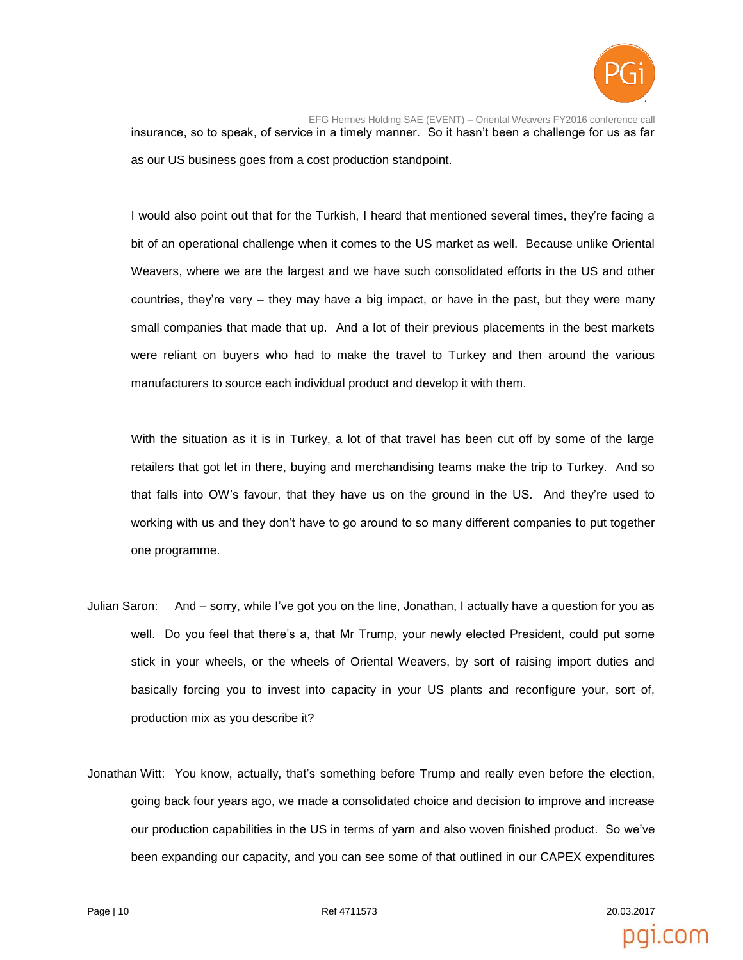

EFG Hermes Holding SAE (EVENT) – Oriental Weavers FY2016 conference call insurance, so to speak, of service in a timely manner. So it hasn't been a challenge for us as far as our US business goes from a cost production standpoint.

I would also point out that for the Turkish, I heard that mentioned several times, they're facing a bit of an operational challenge when it comes to the US market as well. Because unlike Oriental Weavers, where we are the largest and we have such consolidated efforts in the US and other countries, they're very – they may have a big impact, or have in the past, but they were many small companies that made that up. And a lot of their previous placements in the best markets were reliant on buyers who had to make the travel to Turkey and then around the various manufacturers to source each individual product and develop it with them.

With the situation as it is in Turkey, a lot of that travel has been cut off by some of the large retailers that got let in there, buying and merchandising teams make the trip to Turkey. And so that falls into OW's favour, that they have us on the ground in the US. And they're used to working with us and they don't have to go around to so many different companies to put together one programme.

- Julian Saron: And sorry, while I've got you on the line, Jonathan, I actually have a question for you as well. Do you feel that there's a, that Mr Trump, your newly elected President, could put some stick in your wheels, or the wheels of Oriental Weavers, by sort of raising import duties and basically forcing you to invest into capacity in your US plants and reconfigure your, sort of, production mix as you describe it?
- Jonathan Witt: You know, actually, that's something before Trump and really even before the election, going back four years ago, we made a consolidated choice and decision to improve and increase our production capabilities in the US in terms of yarn and also woven finished product. So we've been expanding our capacity, and you can see some of that outlined in our CAPEX expenditures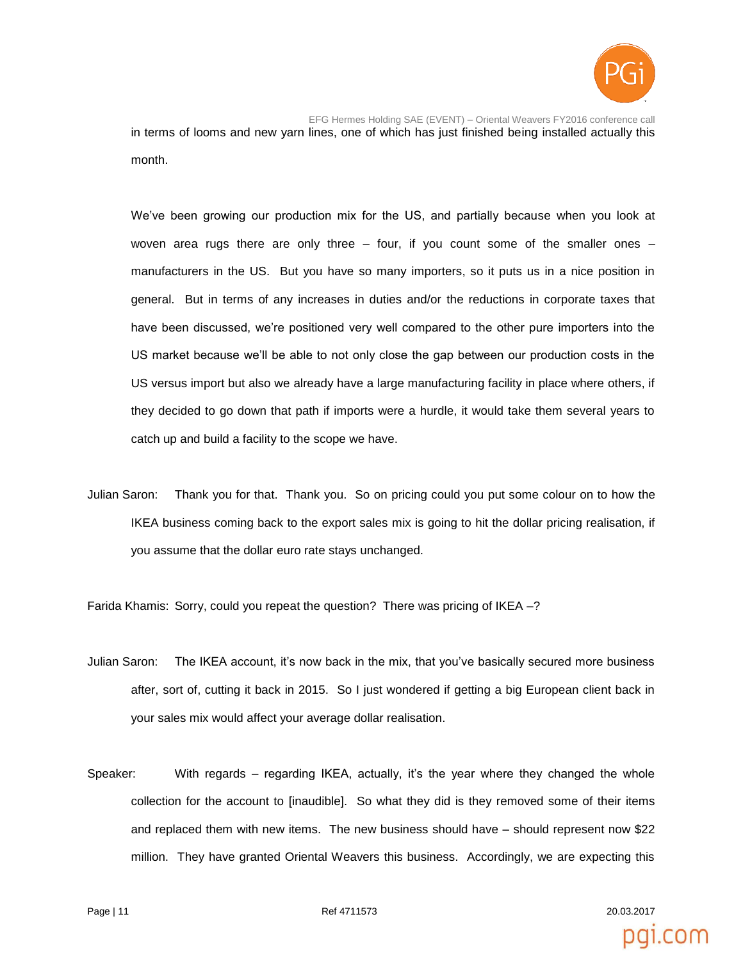

EFG Hermes Holding SAE (EVENT) – Oriental Weavers FY2016 conference call in terms of looms and new yarn lines, one of which has just finished being installed actually this month.

We've been growing our production mix for the US, and partially because when you look at woven area rugs there are only three – four, if you count some of the smaller ones – manufacturers in the US. But you have so many importers, so it puts us in a nice position in general. But in terms of any increases in duties and/or the reductions in corporate taxes that have been discussed, we're positioned very well compared to the other pure importers into the US market because we'll be able to not only close the gap between our production costs in the US versus import but also we already have a large manufacturing facility in place where others, if they decided to go down that path if imports were a hurdle, it would take them several years to catch up and build a facility to the scope we have.

Julian Saron: Thank you for that. Thank you. So on pricing could you put some colour on to how the IKEA business coming back to the export sales mix is going to hit the dollar pricing realisation, if you assume that the dollar euro rate stays unchanged.

Farida Khamis: Sorry, could you repeat the question? There was pricing of IKEA –?

- Julian Saron: The IKEA account, it's now back in the mix, that you've basically secured more business after, sort of, cutting it back in 2015. So I just wondered if getting a big European client back in your sales mix would affect your average dollar realisation.
- Speaker: With regards regarding IKEA, actually, it's the year where they changed the whole collection for the account to [inaudible]. So what they did is they removed some of their items and replaced them with new items. The new business should have – should represent now \$22 million. They have granted Oriental Weavers this business. Accordingly, we are expecting this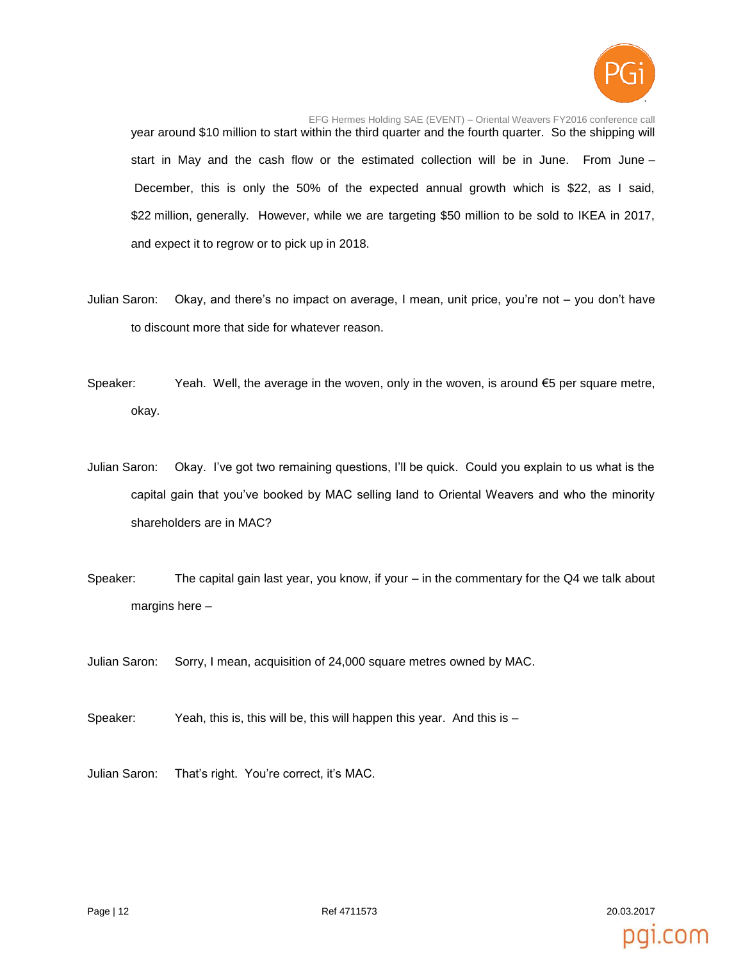

EFG Hermes Holding SAE (EVENT) – Oriental Weavers FY2016 conference call year around \$10 million to start within the third quarter and the fourth quarter. So the shipping will start in May and the cash flow or the estimated collection will be in June. From June – December, this is only the 50% of the expected annual growth which is \$22, as I said, \$22 million, generally. However, while we are targeting \$50 million to be sold to IKEA in 2017, and expect it to regrow or to pick up in 2018.

- Julian Saron: Okay, and there's no impact on average, I mean, unit price, you're not you don't have to discount more that side for whatever reason.
- Speaker: Yeah. Well, the average in the woven, only in the woven, is around  $\epsilon$ 5 per square metre, okay.
- Julian Saron: Okay. I've got two remaining questions, I'll be quick. Could you explain to us what is the capital gain that you've booked by MAC selling land to Oriental Weavers and who the minority shareholders are in MAC?
- Speaker: The capital gain last year, you know, if your in the commentary for the Q4 we talk about margins here –
- Julian Saron: Sorry, I mean, acquisition of 24,000 square metres owned by MAC.
- Speaker: Yeah, this is, this will be, this will happen this year. And this is –
- Julian Saron: That's right. You're correct, it's MAC.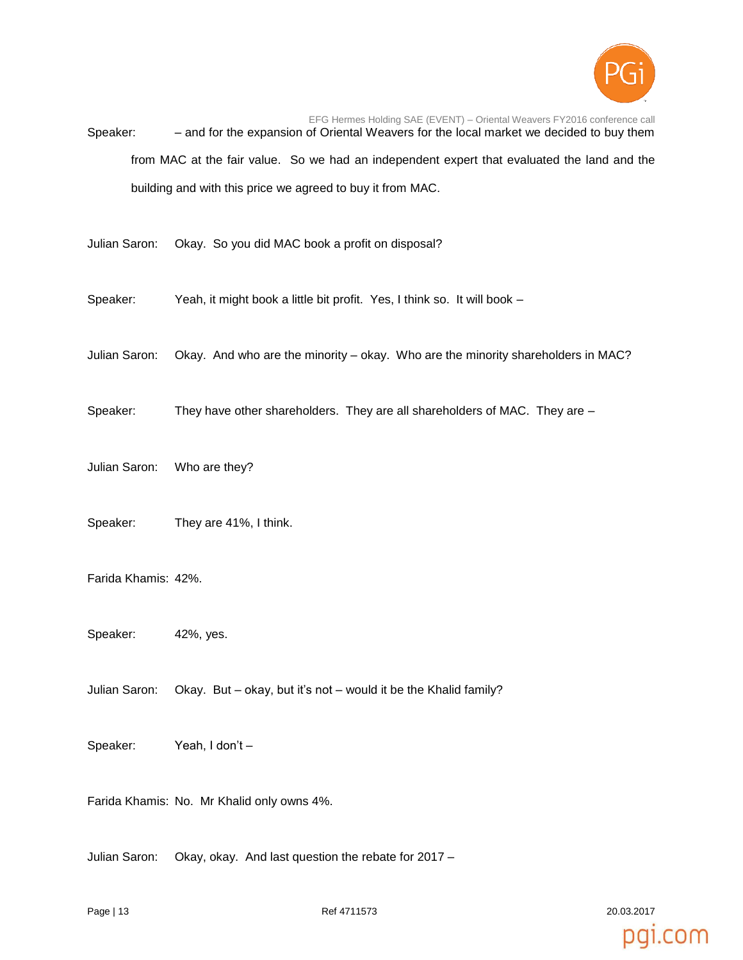

EFG Hermes Holding SAE (EVENT) – Oriental Weavers FY2016 conference call Speaker: – and for the expansion of Oriental Weavers for the local market we decided to buy them from MAC at the fair value. So we had an independent expert that evaluated the land and the building and with this price we agreed to buy it from MAC.

Julian Saron: Okay. So you did MAC book a profit on disposal?

- Speaker: Yeah, it might book a little bit profit. Yes, I think so. It will book –
- Julian Saron: Okay. And who are the minority okay. Who are the minority shareholders in MAC?
- Speaker: They have other shareholders. They are all shareholders of MAC. They are –
- Julian Saron: Who are they?
- Speaker: They are 41%, I think.
- Farida Khamis: 42%.
- Speaker: 42%, yes.
- Julian Saron: Okay. But okay, but it's not would it be the Khalid family?
- Speaker: Yeah, I don't –

Farida Khamis: No. Mr Khalid only owns 4%.

Julian Saron: Okay, okay. And last question the rebate for 2017 –

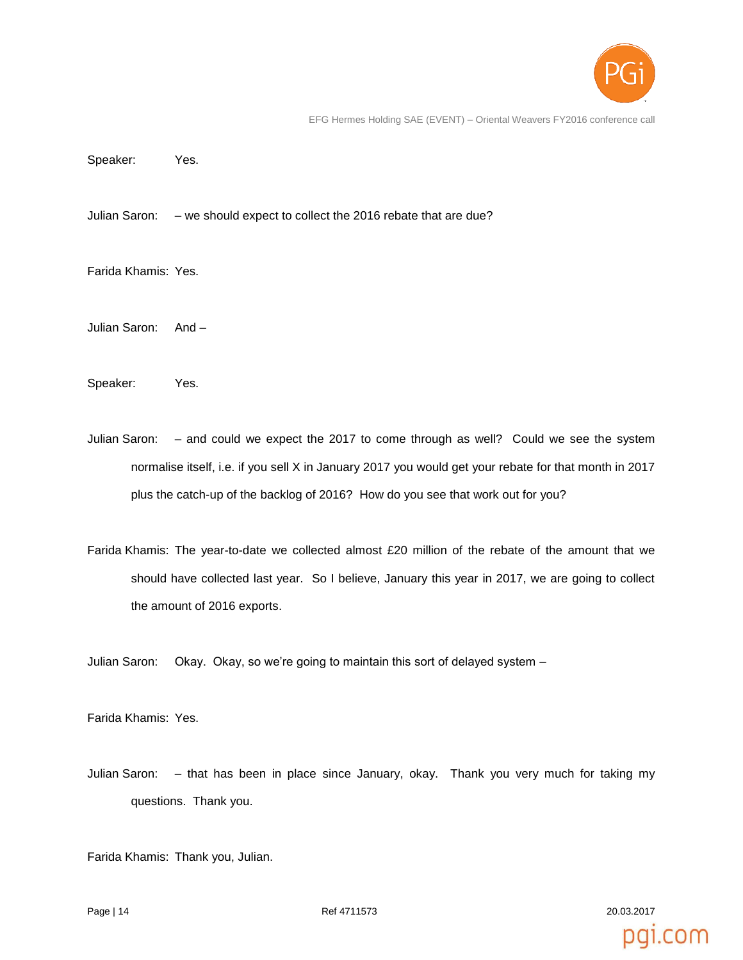

pai.com

EFG Hermes Holding SAE (EVENT) – Oriental Weavers FY2016 conference call

Speaker: Yes.

Julian Saron: – we should expect to collect the 2016 rebate that are due?

Farida Khamis: Yes.

Julian Saron: And –

Speaker: Yes.

- Julian Saron: and could we expect the 2017 to come through as well? Could we see the system normalise itself, i.e. if you sell X in January 2017 you would get your rebate for that month in 2017 plus the catch-up of the backlog of 2016? How do you see that work out for you?
- Farida Khamis: The year-to-date we collected almost £20 million of the rebate of the amount that we should have collected last year. So I believe, January this year in 2017, we are going to collect the amount of 2016 exports.

Julian Saron: Okay. Okay, so we're going to maintain this sort of delayed system –

Farida Khamis: Yes.

Julian Saron: – that has been in place since January, okay. Thank you very much for taking my questions. Thank you.

Farida Khamis: Thank you, Julian.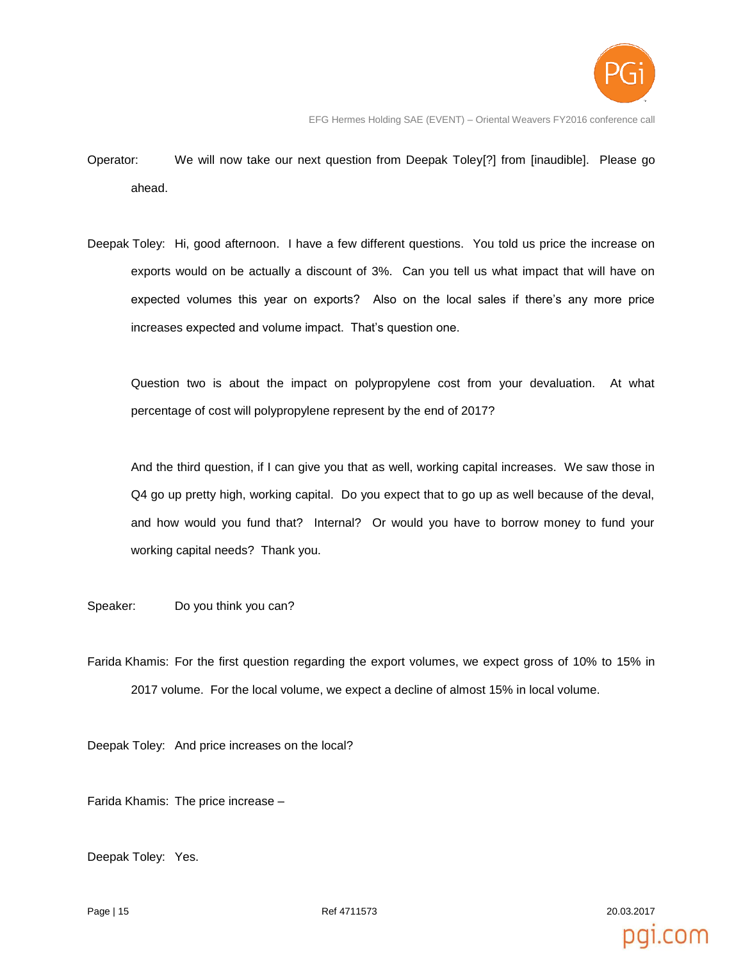

- Operator: We will now take our next question from Deepak Toley[?] from [inaudible]. Please go ahead.
- Deepak Toley: Hi, good afternoon. I have a few different questions. You told us price the increase on exports would on be actually a discount of 3%. Can you tell us what impact that will have on expected volumes this year on exports? Also on the local sales if there's any more price increases expected and volume impact. That's question one.

Question two is about the impact on polypropylene cost from your devaluation. At what percentage of cost will polypropylene represent by the end of 2017?

And the third question, if I can give you that as well, working capital increases. We saw those in Q4 go up pretty high, working capital. Do you expect that to go up as well because of the deval, and how would you fund that? Internal? Or would you have to borrow money to fund your working capital needs? Thank you.

Speaker: Do you think you can?

Farida Khamis: For the first question regarding the export volumes, we expect gross of 10% to 15% in 2017 volume. For the local volume, we expect a decline of almost 15% in local volume.

Deepak Toley: And price increases on the local?

Farida Khamis: The price increase –

Deepak Toley: Yes.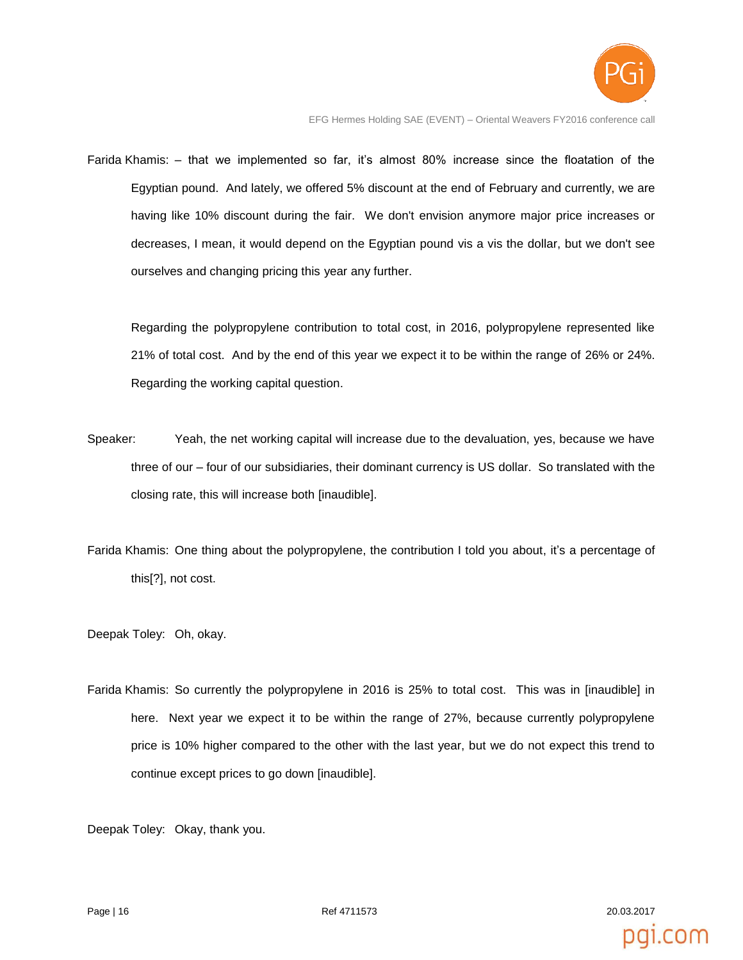

EFG Hermes Holding SAE (EVENT) – Oriental Weavers FY2016 conference call

Farida Khamis: – that we implemented so far, it's almost 80% increase since the floatation of the Egyptian pound. And lately, we offered 5% discount at the end of February and currently, we are having like 10% discount during the fair. We don't envision anymore major price increases or decreases, I mean, it would depend on the Egyptian pound vis a vis the dollar, but we don't see ourselves and changing pricing this year any further.

Regarding the polypropylene contribution to total cost, in 2016, polypropylene represented like 21% of total cost. And by the end of this year we expect it to be within the range of 26% or 24%. Regarding the working capital question.

- Speaker: Yeah, the net working capital will increase due to the devaluation, yes, because we have three of our – four of our subsidiaries, their dominant currency is US dollar. So translated with the closing rate, this will increase both [inaudible].
- Farida Khamis: One thing about the polypropylene, the contribution I told you about, it's a percentage of this[?], not cost.

Deepak Toley: Oh, okay.

Farida Khamis: So currently the polypropylene in 2016 is 25% to total cost. This was in [inaudible] in here. Next year we expect it to be within the range of 27%, because currently polypropylene price is 10% higher compared to the other with the last year, but we do not expect this trend to continue except prices to go down [inaudible].

Deepak Toley: Okay, thank you.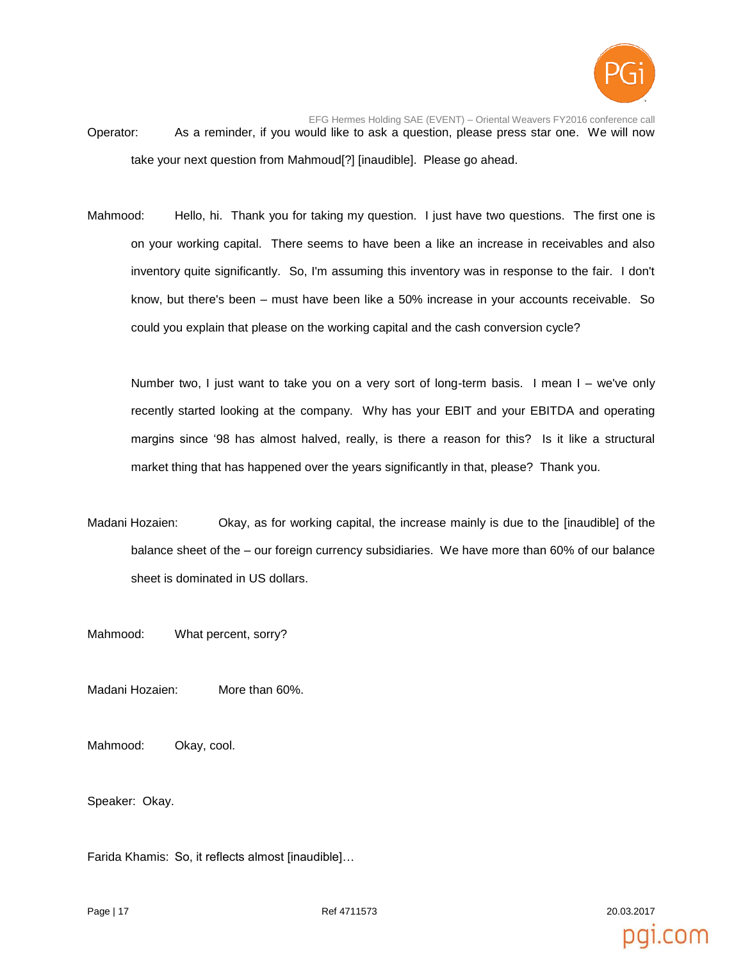

- EFG Hermes Holding SAE (EVENT) Oriental Weavers FY2016 conference call Operator: As a reminder, if you would like to ask a question, please press star one. We will now take your next question from Mahmoud[?] [inaudible]. Please go ahead.
- Mahmood: Hello, hi. Thank you for taking my question. I just have two questions. The first one is on your working capital. There seems to have been a like an increase in receivables and also inventory quite significantly. So, I'm assuming this inventory was in response to the fair. I don't know, but there's been – must have been like a 50% increase in your accounts receivable. So could you explain that please on the working capital and the cash conversion cycle?

Number two, I just want to take you on a very sort of long-term basis. I mean I – we've only recently started looking at the company. Why has your EBIT and your EBITDA and operating margins since '98 has almost halved, really, is there a reason for this? Is it like a structural market thing that has happened over the years significantly in that, please? Thank you.

- Madani Hozaien: Okay, as for working capital, the increase mainly is due to the [inaudible] of the balance sheet of the – our foreign currency subsidiaries. We have more than 60% of our balance sheet is dominated in US dollars.
- Mahmood: What percent, sorry?

Madani Hozaien: More than 60%.

Mahmood: Okay, cool.

Speaker: Okay.

Farida Khamis: So, it reflects almost [inaudible]…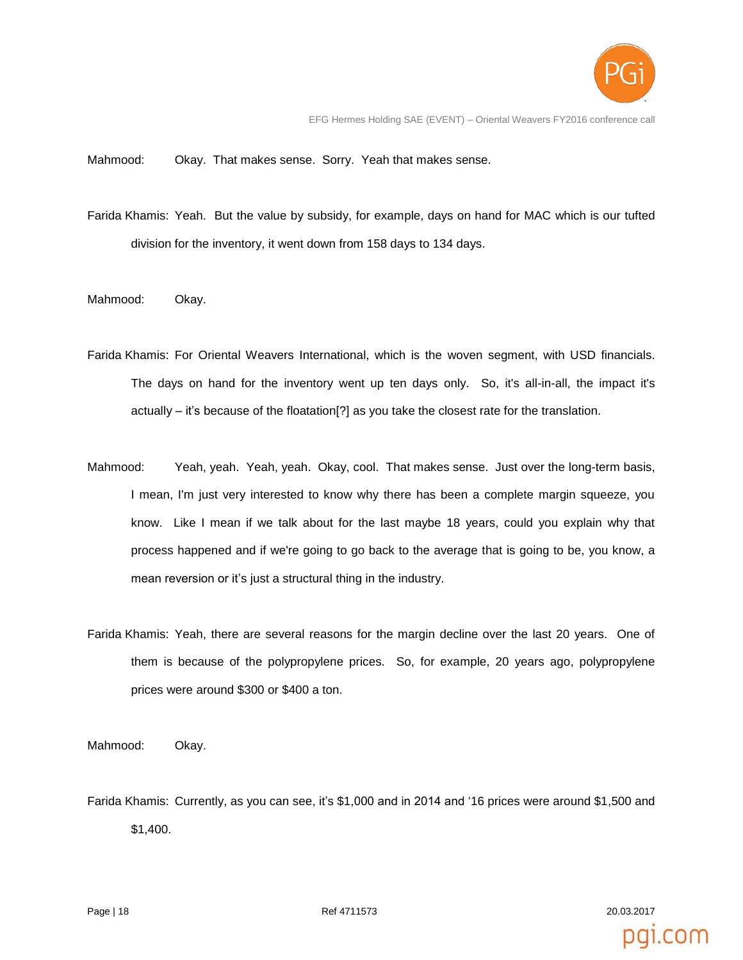

EFG Hermes Holding SAE (EVENT) – Oriental Weavers FY2016 conference call

Mahmood: Okay. That makes sense. Sorry. Yeah that makes sense.

- Farida Khamis: Yeah. But the value by subsidy, for example, days on hand for MAC which is our tufted division for the inventory, it went down from 158 days to 134 days.
- Mahmood: Okay.
- Farida Khamis: For Oriental Weavers International, which is the woven segment, with USD financials. The days on hand for the inventory went up ten days only. So, it's all-in-all, the impact it's actually – it's because of the floatation[?] as you take the closest rate for the translation.
- Mahmood: Yeah, yeah. Yeah, yeah. Okay, cool. That makes sense. Just over the long-term basis, I mean, I'm just very interested to know why there has been a complete margin squeeze, you know. Like I mean if we talk about for the last maybe 18 years, could you explain why that process happened and if we're going to go back to the average that is going to be, you know, a mean reversion or it's just a structural thing in the industry.
- Farida Khamis: Yeah, there are several reasons for the margin decline over the last 20 years. One of them is because of the polypropylene prices. So, for example, 20 years ago, polypropylene prices were around \$300 or \$400 a ton.

Mahmood: Okay.

Farida Khamis: Currently, as you can see, it's \$1,000 and in 2014 and '16 prices were around \$1,500 and \$1,400.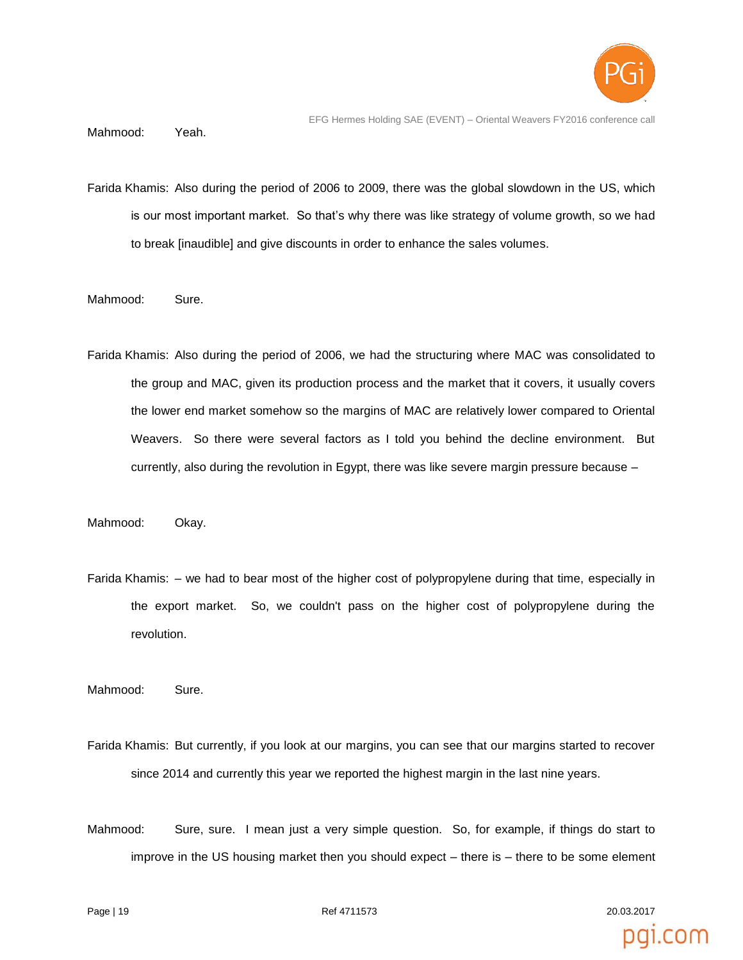

EFG Hermes Holding SAE (EVENT) – Oriental Weavers FY2016 conference call

Mahmood: Yeah.

- Farida Khamis: Also during the period of 2006 to 2009, there was the global slowdown in the US, which is our most important market. So that's why there was like strategy of volume growth, so we had to break [inaudible] and give discounts in order to enhance the sales volumes.
- Mahmood: Sure.
- Farida Khamis: Also during the period of 2006, we had the structuring where MAC was consolidated to the group and MAC, given its production process and the market that it covers, it usually covers the lower end market somehow so the margins of MAC are relatively lower compared to Oriental Weavers. So there were several factors as I told you behind the decline environment. But currently, also during the revolution in Egypt, there was like severe margin pressure because –

Mahmood: Okay.

Farida Khamis: – we had to bear most of the higher cost of polypropylene during that time, especially in the export market. So, we couldn't pass on the higher cost of polypropylene during the revolution.

Mahmood: Sure.

- Farida Khamis: But currently, if you look at our margins, you can see that our margins started to recover since 2014 and currently this year we reported the highest margin in the last nine years.
- Mahmood: Sure, sure. I mean just a very simple question. So, for example, if things do start to improve in the US housing market then you should expect – there is – there to be some element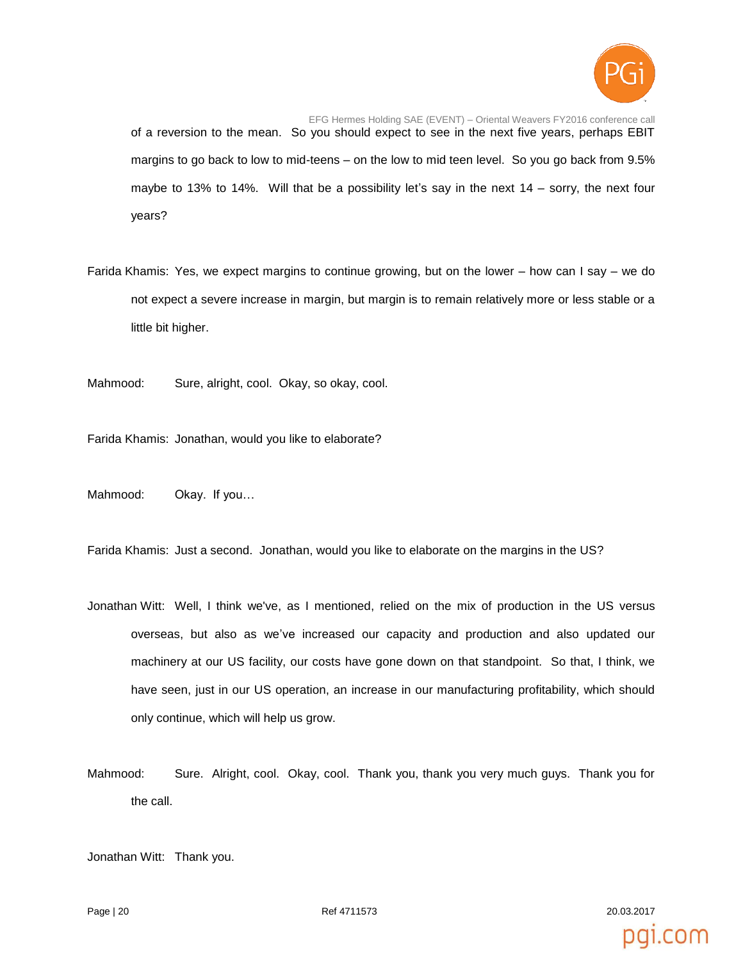

EFG Hermes Holding SAE (EVENT) – Oriental Weavers FY2016 conference call of a reversion to the mean. So you should expect to see in the next five years, perhaps EBIT margins to go back to low to mid-teens – on the low to mid teen level. So you go back from 9.5% maybe to 13% to 14%. Will that be a possibility let's say in the next 14 – sorry, the next four years?

Farida Khamis: Yes, we expect margins to continue growing, but on the lower – how can I say – we do not expect a severe increase in margin, but margin is to remain relatively more or less stable or a little bit higher.

Mahmood: Sure, alright, cool. Okay, so okay, cool.

Farida Khamis: Jonathan, would you like to elaborate?

Mahmood: Okay. If you…

Farida Khamis: Just a second. Jonathan, would you like to elaborate on the margins in the US?

- Jonathan Witt: Well, I think we've, as I mentioned, relied on the mix of production in the US versus overseas, but also as we've increased our capacity and production and also updated our machinery at our US facility, our costs have gone down on that standpoint. So that, I think, we have seen, just in our US operation, an increase in our manufacturing profitability, which should only continue, which will help us grow.
- Mahmood: Sure. Alright, cool. Okay, cool. Thank you, thank you very much guys. Thank you for the call.

Jonathan Witt: Thank you.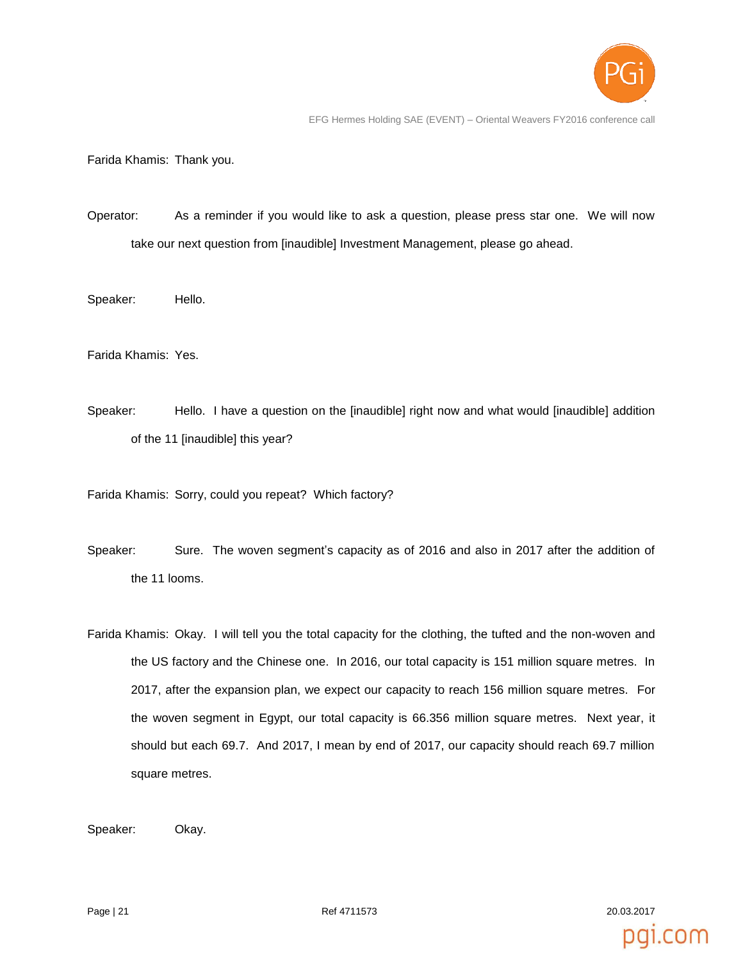

pai.com

EFG Hermes Holding SAE (EVENT) – Oriental Weavers FY2016 conference call

Farida Khamis: Thank you.

- Operator: As a reminder if you would like to ask a question, please press star one. We will now take our next question from [inaudible] Investment Management, please go ahead.
- Speaker: Hello.

Farida Khamis: Yes.

Speaker: Hello. I have a question on the [inaudible] right now and what would [inaudible] addition of the 11 [inaudible] this year?

Farida Khamis: Sorry, could you repeat? Which factory?

- Speaker: Sure. The woven segment's capacity as of 2016 and also in 2017 after the addition of the 11 looms.
- Farida Khamis: Okay. I will tell you the total capacity for the clothing, the tufted and the non-woven and the US factory and the Chinese one. In 2016, our total capacity is 151 million square metres. In 2017, after the expansion plan, we expect our capacity to reach 156 million square metres. For the woven segment in Egypt, our total capacity is 66.356 million square metres. Next year, it should but each 69.7. And 2017, I mean by end of 2017, our capacity should reach 69.7 million square metres.

Speaker: Okay.